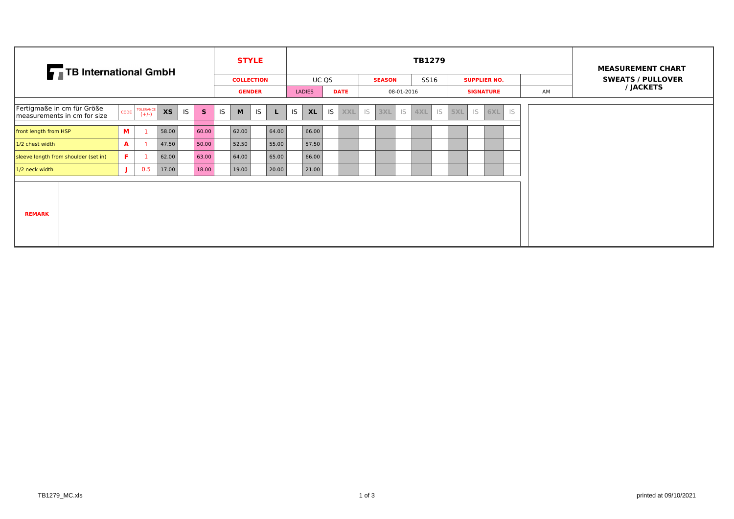| TB International GmbH                                     |      |                      |           |    |              |    | <b>STYLE</b>      |           |       |    |               |       |             |    |               |            | TB1279 |    |     |    |                     |    |    |  |  | <b>MEASUREMENT CHART</b> |  |
|-----------------------------------------------------------|------|----------------------|-----------|----|--------------|----|-------------------|-----------|-------|----|---------------|-------|-------------|----|---------------|------------|--------|----|-----|----|---------------------|----|----|--|--|--------------------------|--|
|                                                           |      |                      |           |    |              |    | <b>COLLECTION</b> |           |       |    |               | UC QS |             |    | <b>SEASON</b> |            | SS16   |    |     |    | <b>SUPPLIER NO.</b> |    |    |  |  | <b>SWEATS / PULLOVER</b> |  |
|                                                           |      |                      |           |    |              |    | <b>GENDER</b>     |           |       |    | <b>LADIES</b> |       | <b>DATE</b> |    |               | 08-01-2016 |        |    |     |    | <b>SIGNATURE</b>    |    | AM |  |  | / JACKETS                |  |
|                                                           |      |                      |           |    |              |    |                   |           |       |    |               |       |             |    |               |            |        |    |     |    |                     |    |    |  |  |                          |  |
| Fertigmaße in cm für Größe<br>measurements in cm for size | CODE | TOLERANCE<br>$(+/-)$ | <b>XS</b> | IS | $\mathsf{s}$ | IS | M                 | <b>IS</b> | L.    | IS | <b>XL</b>     | IS    | <b>XXL</b>  | IS | 3XL           | IS         | 4XL    | IS | 5XL | IS | 6XL                 | IS |    |  |  |                          |  |
|                                                           |      |                      |           |    |              |    |                   |           |       |    |               |       |             |    |               |            |        |    |     |    |                     |    |    |  |  |                          |  |
| front length from HSP                                     | M    |                      | 58.00     |    | 60.00        |    | 62.00             |           | 64.00 |    | 66.00         |       |             |    |               |            |        |    |     |    |                     |    |    |  |  |                          |  |
| 1/2 chest width                                           | A    |                      | 47.50     |    | 50.00        |    | 52.50             |           | 55.00 |    | 57.50         |       |             |    |               |            |        |    |     |    |                     |    |    |  |  |                          |  |
| sleeve length from shoulder (set in)                      | F.   |                      | 62.00     |    | 63.00        |    | 64.00             |           | 65.00 |    | 66.00         |       |             |    |               |            |        |    |     |    |                     |    |    |  |  |                          |  |
| $1/2$ neck width                                          |      | 0.5                  | 17.00     |    | 18.00        |    | 19.00             |           | 20.00 |    | 21.00         |       |             |    |               |            |        |    |     |    |                     |    |    |  |  |                          |  |
| <b>REMARK</b>                                             |      |                      |           |    |              |    |                   |           |       |    |               |       |             |    |               |            |        |    |     |    |                     |    |    |  |  |                          |  |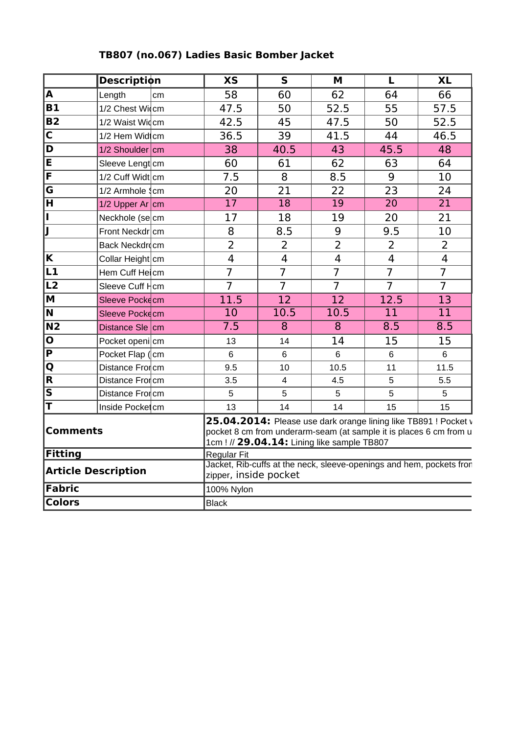|                            | <b>Description</b>             | <b>XS</b>          | $\overline{\mathsf{s}}$                                                                       | M                                                                                                                                                                                    | L               | $\overline{XL}$ |  |  |  |  |  |  |
|----------------------------|--------------------------------|--------------------|-----------------------------------------------------------------------------------------------|--------------------------------------------------------------------------------------------------------------------------------------------------------------------------------------|-----------------|-----------------|--|--|--|--|--|--|
| $\overline{\mathsf{A}}$    | Length<br>cm                   | 58                 | 60                                                                                            | 62                                                                                                                                                                                   | 64              | 66              |  |  |  |  |  |  |
| <b>B1</b>                  | 1/2 Chest Widcm                | 47.5               | 50                                                                                            | 52.5                                                                                                                                                                                 | 55              | 57.5            |  |  |  |  |  |  |
| $\overline{B2}$            | 1/2 Waist Widcm                | 42.5               | 45                                                                                            | 47.5                                                                                                                                                                                 | 50              | 52.5            |  |  |  |  |  |  |
| $\overline{\mathsf{c}}$    | 1/2 Hem Widtcm                 | 36.5               | 39                                                                                            | 41.5                                                                                                                                                                                 | 44              | 46.5            |  |  |  |  |  |  |
| $\overline{\mathsf{D}}$    | $1/2$ Shoulder cm              | 38                 | 40.5                                                                                          | 43                                                                                                                                                                                   | 45.5            | 48              |  |  |  |  |  |  |
| E                          | Sleeve Lengt cm                | 60                 | 61                                                                                            | 62                                                                                                                                                                                   | 63              | 64              |  |  |  |  |  |  |
| F                          | $1/2$ Cuff Widt cm             | 7.5                | 8                                                                                             | 8.5                                                                                                                                                                                  | 9               | 10              |  |  |  |  |  |  |
| G                          | $1/2$ Armhole $\frac{1}{2}$ cm | 20                 | 21                                                                                            | 22                                                                                                                                                                                   | 23              | 24              |  |  |  |  |  |  |
| Ħ                          | 1/2 Upper Ar $\rm{cm}$         | 17                 | 18                                                                                            | 19                                                                                                                                                                                   | $\overline{20}$ | $\overline{21}$ |  |  |  |  |  |  |
| Ī                          | Neckhole (secm                 | 17                 | 18                                                                                            | 19                                                                                                                                                                                   | 20              | 21              |  |  |  |  |  |  |
| IJ                         | Front Neckdr cm                | 8                  | 8.5                                                                                           | 9                                                                                                                                                                                    | 9.5             | 10              |  |  |  |  |  |  |
|                            | Back Neckdrocm                 | $\overline{2}$     | $\overline{2}$                                                                                | $\overline{2}$                                                                                                                                                                       | $\overline{2}$  | $\overline{2}$  |  |  |  |  |  |  |
| $\overline{\mathbf{K}}$    | Collar Height cm               | $\overline{4}$     | $\overline{4}$                                                                                | 4                                                                                                                                                                                    | $\overline{4}$  | $\overline{4}$  |  |  |  |  |  |  |
| L1                         | Hem Cuff Heicm                 | $\overline{7}$     | $\overline{7}$                                                                                | $\overline{7}$                                                                                                                                                                       | $\overline{7}$  | $\overline{7}$  |  |  |  |  |  |  |
| $\overline{\mathsf{L2}}$   | Sleeve Cuff Hcm                | $\overline{7}$     | $\overline{7}$                                                                                | $\overline{7}$                                                                                                                                                                       | $\overline{7}$  | $\overline{7}$  |  |  |  |  |  |  |
| $\overline{\mathsf{M}}$    | Sleeve Pockecm                 | 11.5               | 12                                                                                            | 12                                                                                                                                                                                   | 12.5            | 13              |  |  |  |  |  |  |
| $\overline{\mathsf{N}}$    | Sleeve Pockecm                 | 10                 | 10.5                                                                                          | 10.5                                                                                                                                                                                 | 11              | 11              |  |  |  |  |  |  |
| $\overline{N2}$            | Distance Sle cm                | $\overline{7.5}$   | 8                                                                                             | $\overline{8}$                                                                                                                                                                       | 8.5             | 8.5             |  |  |  |  |  |  |
| $ \overline{\mathbf{o}} $  | Pocket openi cm                | 13                 | 14                                                                                            | 14                                                                                                                                                                                   | 15              | 15              |  |  |  |  |  |  |
| $\overline{\mathsf{P}}$    | Pocket Flap (cm                | $6\phantom{a}$     | 6                                                                                             | $6\phantom{1}$                                                                                                                                                                       | $6\phantom{a}$  | 6               |  |  |  |  |  |  |
| $\overline{\mathsf{Q}}$    | Distance Frorcm                | 9.5                | 10                                                                                            | 10.5                                                                                                                                                                                 | 11              | 11.5            |  |  |  |  |  |  |
| $\overline{\mathsf{R}}$    | Distance Froncm                | 3.5                | 4                                                                                             | 4.5                                                                                                                                                                                  | 5               | 5.5             |  |  |  |  |  |  |
| $\overline{\mathsf{s}}$    | Distance Frorcm                | 5                  | 5                                                                                             | 5                                                                                                                                                                                    | 5               | 5               |  |  |  |  |  |  |
| ΙT                         | Inside Pocket cm               | 13                 | 14                                                                                            | 14                                                                                                                                                                                   | 15              | 15              |  |  |  |  |  |  |
| <b>Comments</b>            |                                |                    |                                                                                               | 25.04.2014: Please use dark orange lining like TB891 ! Pocket v<br>pocket 8 cm from underarm-seam (at sample it is places 6 cm from u<br>1cm ! // 29.04.14: Lining like sample TB807 |                 |                 |  |  |  |  |  |  |
| Fitting                    |                                | <b>Regular Fit</b> |                                                                                               |                                                                                                                                                                                      |                 |                 |  |  |  |  |  |  |
| <b>Article Description</b> |                                |                    | Jacket, Rib-cuffs at the neck, sleeve-openings and hem, pockets fror<br>zipper, inside pocket |                                                                                                                                                                                      |                 |                 |  |  |  |  |  |  |
| Fabric                     |                                | 100% Nylon         |                                                                                               |                                                                                                                                                                                      |                 |                 |  |  |  |  |  |  |
| <b>Colors</b>              |                                | <b>Black</b>       |                                                                                               |                                                                                                                                                                                      |                 |                 |  |  |  |  |  |  |

## **TB807 (no.067) Ladies Basic Bomber Jacket**